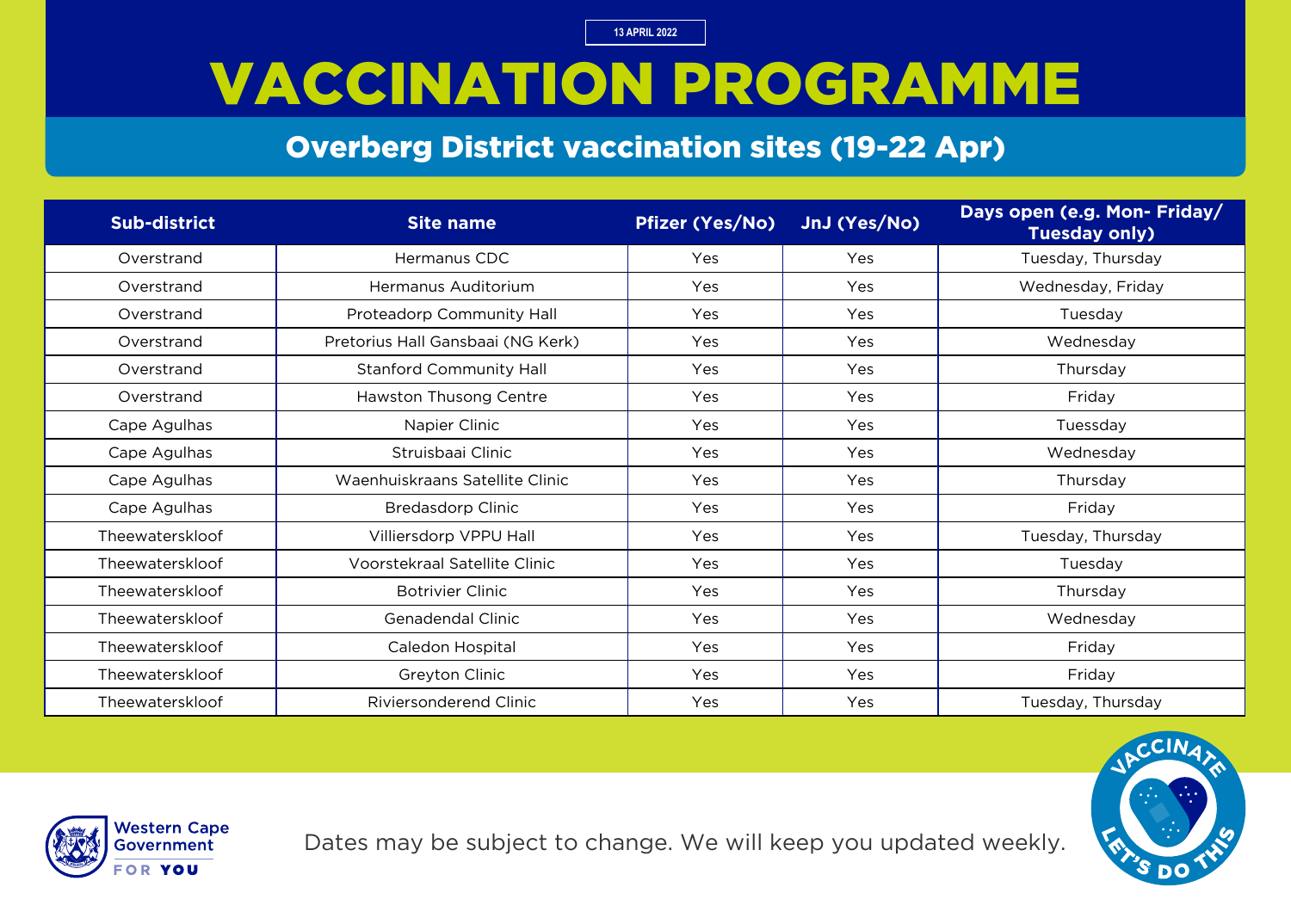## VACCINATION PROGRAMME

#### Overberg District vaccination sites (19-22 Apr)

| <b>Sub-district</b> | <b>Site name</b>                  | <b>Pfizer (Yes/No)</b> | JnJ (Yes/No) | Days open (e.g. Mon- Friday/<br><b>Tuesday only)</b> |
|---------------------|-----------------------------------|------------------------|--------------|------------------------------------------------------|
| Overstrand          | Hermanus CDC                      | Yes                    | Yes          | Tuesday, Thursday                                    |
| Overstrand          | Hermanus Auditorium               | Yes                    | Yes          | Wednesday, Friday                                    |
| Overstrand          | Proteadorp Community Hall         | Yes                    | Yes          | Tuesday                                              |
| Overstrand          | Pretorius Hall Gansbaai (NG Kerk) | Yes                    | Yes          | Wednesday                                            |
| Overstrand          | <b>Stanford Community Hall</b>    | Yes                    | Yes          | Thursday                                             |
| Overstrand          | Hawston Thusong Centre            | Yes                    | Yes          | Friday                                               |
| Cape Agulhas        | Napier Clinic                     | Yes                    | Yes          | Tuessday                                             |
| Cape Agulhas        | Struisbaai Clinic                 | Yes                    | Yes          | Wednesday                                            |
| Cape Agulhas        | Waenhuiskraans Satellite Clinic   | Yes                    | Yes          | Thursday                                             |
| Cape Agulhas        | <b>Bredasdorp Clinic</b>          | Yes                    | Yes          | Friday                                               |
| Theewaterskloof     | Villiersdorp VPPU Hall            | Yes                    | Yes          | Tuesday, Thursday                                    |
| Theewaterskloof     | Voorstekraal Satellite Clinic     | Yes                    | Yes          | Tuesday                                              |
| Theewaterskloof     | <b>Botrivier Clinic</b>           | Yes                    | Yes          | Thursday                                             |
| Theewaterskloof     | Genadendal Clinic                 | Yes                    | Yes          | Wednesday                                            |
| Theewaterskloof     | Caledon Hospital                  | Yes                    | Yes          | Friday                                               |
| Theewaterskloof     | Greyton Clinic                    | Yes                    | Yes          | Friday                                               |
| Theewaterskloof     | <b>Riviersonderend Clinic</b>     | Yes                    | Yes          | Tuesday, Thursday                                    |



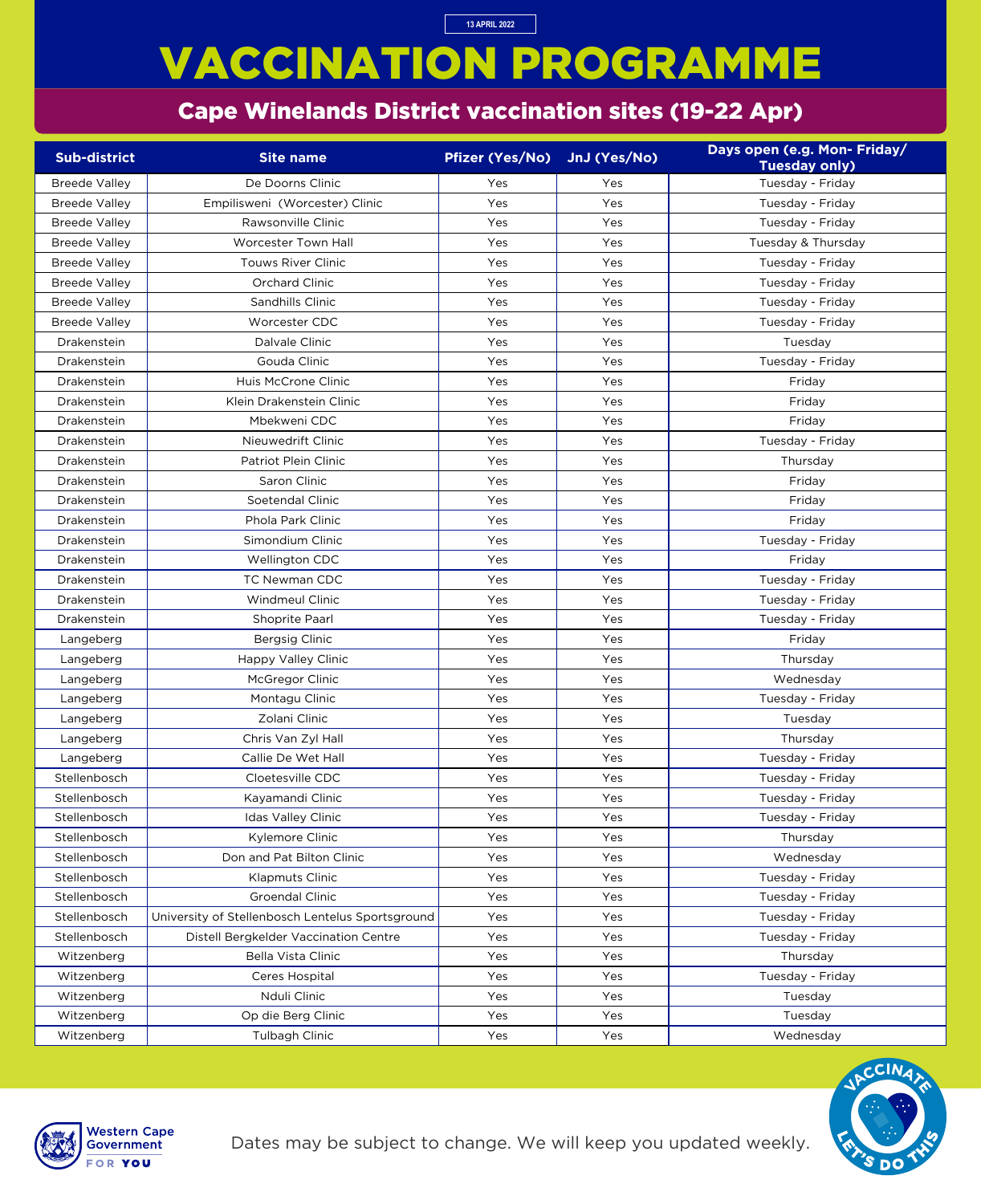# VACCINATION PROGRAMME

#### Cape Winelands District vaccination sites (19-22 Apr)

**13 APRIL 2022**

| <b>Sub-district</b>  | <b>Site name</b>                                 | <b>Pfizer (Yes/No)</b> | JnJ (Yes/No) | Days open (e.g. Mon- Friday/ |
|----------------------|--------------------------------------------------|------------------------|--------------|------------------------------|
|                      |                                                  |                        |              | <b>Tuesday only)</b>         |
| <b>Breede Valley</b> | De Doorns Clinic                                 | Yes                    | Yes          | Tuesday - Friday             |
| <b>Breede Valley</b> | Empilisweni (Worcester) Clinic                   | Yes                    | Yes          | Tuesday - Friday             |
| <b>Breede Valley</b> | Rawsonville Clinic                               | Yes                    | Yes          | Tuesday - Friday             |
| <b>Breede Valley</b> | <b>Worcester Town Hall</b>                       | Yes                    | Yes          | Tuesday & Thursday           |
| <b>Breede Valley</b> | <b>Touws River Clinic</b>                        | Yes                    | Yes          | Tuesday - Friday             |
| <b>Breede Valley</b> | Orchard Clinic                                   | Yes                    | Yes          | Tuesday - Friday             |
| <b>Breede Valley</b> | Sandhills Clinic                                 | Yes                    | Yes          | Tuesday - Friday             |
| <b>Breede Valley</b> | Worcester CDC                                    | Yes                    | Yes          | Tuesday - Friday             |
| Drakenstein          | Dalvale Clinic                                   | Yes                    | Yes          | Tuesday                      |
| Drakenstein          | Gouda Clinic                                     | Yes                    | Yes          | Tuesday - Friday             |
| Drakenstein          | Huis McCrone Clinic                              | Yes                    | Yes          | Friday                       |
| Drakenstein          | Klein Drakenstein Clinic                         | Yes                    | Yes          | Friday                       |
| Drakenstein          | Mbekweni CDC                                     | Yes                    | Yes          | Friday                       |
| Drakenstein          | Nieuwedrift Clinic                               | Yes                    | Yes          | Tuesday - Friday             |
| Drakenstein          | <b>Patriot Plein Clinic</b>                      | Yes                    | Yes          | Thursday                     |
| Drakenstein          | Saron Clinic                                     | Yes                    | Yes          | Friday                       |
| Drakenstein          | Soetendal Clinic                                 | Yes                    | Yes          | Friday                       |
| Drakenstein          | Phola Park Clinic                                | Yes                    | Yes          | Friday                       |
| Drakenstein          | Simondium Clinic                                 | Yes                    | Yes          | Tuesday - Friday             |
| Drakenstein          | Wellington CDC                                   | Yes                    | Yes          | Friday                       |
| Drakenstein          | <b>TC Newman CDC</b>                             | Yes                    | Yes          | Tuesday - Friday             |
| Drakenstein          | <b>Windmeul Clinic</b>                           | Yes                    | Yes          | Tuesday - Friday             |
| Drakenstein          | Shoprite Paarl                                   | Yes                    | Yes          | Tuesday - Friday             |
| Langeberg            | Bergsig Clinic                                   | Yes                    | Yes          | Friday                       |
| Langeberg            | <b>Happy Valley Clinic</b>                       | Yes                    | Yes          | Thursday                     |
| Langeberg            | McGregor Clinic                                  | Yes                    | Yes          | Wednesday                    |
| Langeberg            | Montagu Clinic                                   | Yes                    | Yes          | Tuesday - Friday             |
| Langeberg            | Zolani Clinic                                    | Yes                    | Yes          | Tuesday                      |
| Langeberg            | Chris Van Zyl Hall                               | Yes                    | Yes          | Thursday                     |
| Langeberg            | Callie De Wet Hall                               | Yes                    | Yes          | Tuesday - Friday             |
| Stellenbosch         | Cloetesville CDC                                 | Yes                    | Yes          | Tuesday - Friday             |
| Stellenbosch         | Kayamandi Clinic                                 | Yes                    | Yes          | Tuesday - Friday             |
| Stellenbosch         | Idas Valley Clinic                               | Yes                    | Yes          | Tuesday - Friday             |
| Stellenbosch         | Kylemore Clinic                                  | Yes                    | Yes          | Thursday                     |
| Stellenbosch         | Don and Pat Bilton Clinic                        | Yes                    | Yes          | Wednesday                    |
| Stellenbosch         | <b>Klapmuts Clinic</b>                           | Yes                    | Yes          | Tuesday - Friday             |
| Stellenbosch         | <b>Groendal Clinic</b>                           | Yes                    | Yes          | Tuesday - Friday             |
| Stellenbosch         | University of Stellenbosch Lentelus Sportsground | Yes                    | Yes          | Tuesday - Friday             |
| Stellenbosch         | Distell Bergkelder Vaccination Centre            | Yes                    | Yes          | Tuesday - Friday             |
| Witzenberg           | <b>Bella Vista Clinic</b>                        | Yes                    | Yes          | Thursday                     |
| Witzenberg           | Ceres Hospital                                   | Yes                    | Yes          | Tuesday - Friday             |
| Witzenberg           | Nduli Clinic                                     | Yes                    | Yes          | Tuesday                      |
| Witzenberg           | Op die Berg Clinic                               | Yes                    | Yes          | Tuesday                      |
| Witzenberg           | Tulbagh Clinic                                   | Yes                    | Yes          | Wednesday                    |

Dates may be subject to change. We will keep you updated weekly.



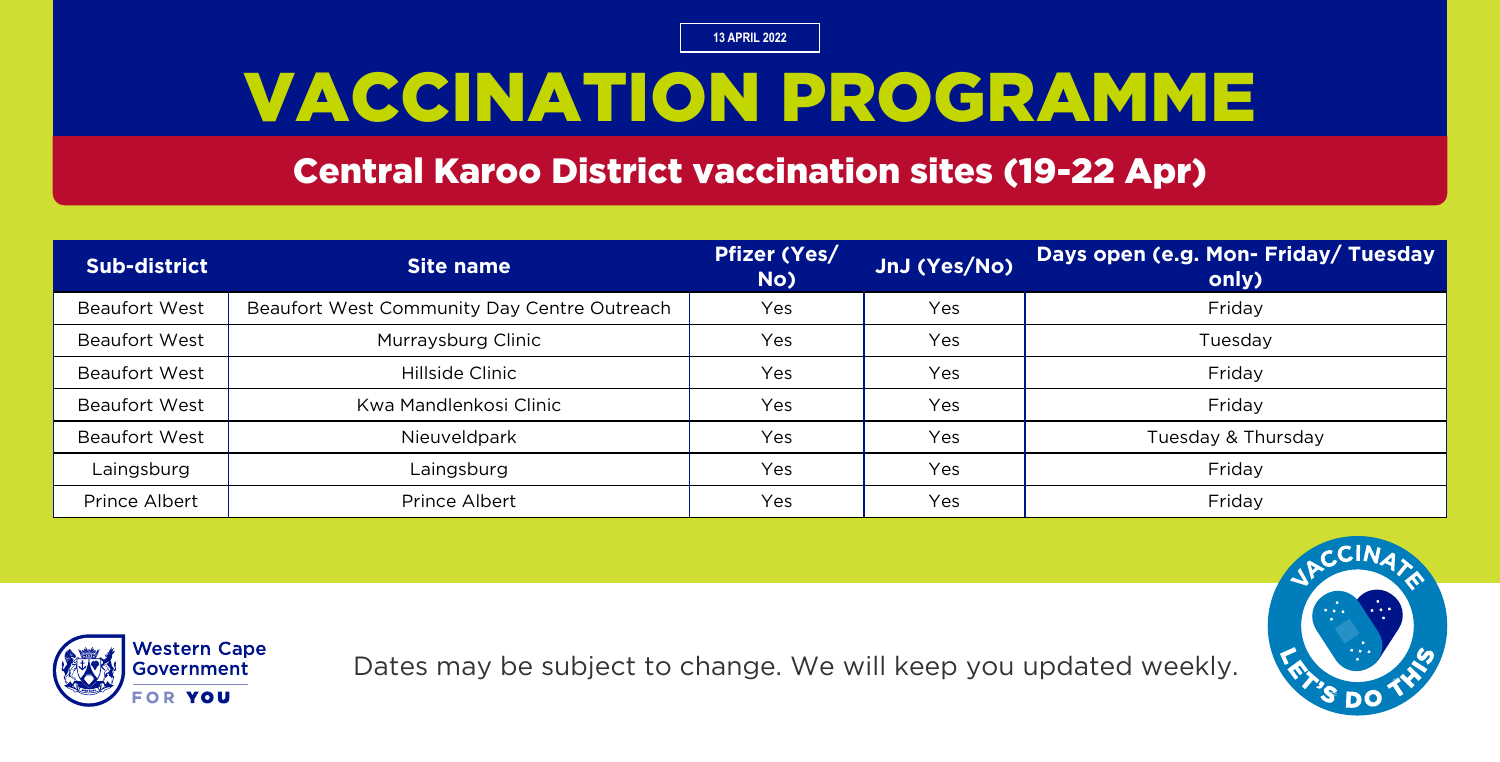## VACCINATION PROGRAMME

Central Karoo District vaccination sites (19-22 Apr)

| Sub-district         | Site name                                   | <b>Pfizer (Yes/</b><br>No) | JnJ (Yes/No) | Days open (e.g. Mon- Friday/ Tuesday<br>only) |
|----------------------|---------------------------------------------|----------------------------|--------------|-----------------------------------------------|
| <b>Beaufort West</b> | Beaufort West Community Day Centre Outreach | Yes                        | Yes          | Friday                                        |
| <b>Beaufort West</b> | Murraysburg Clinic                          | Yes                        | Yes          | Tuesday                                       |
| <b>Beaufort West</b> | Hillside Clinic                             | Yes                        | Yes          | Friday                                        |
| <b>Beaufort West</b> | Kwa Mandlenkosi Clinic                      | Yes                        | Yes          | Friday                                        |
| <b>Beaufort West</b> | Nieuveldpark                                | Yes                        | Yes          | Tuesday & Thursday                            |
| Laingsburg           | Laingsburg                                  | Yes                        | Yes          | Friday                                        |
| Prince Albert        | Prince Albert                               | Yes                        | Yes          | Friday                                        |



Dates may be subject to change. We will keep you updated weekly.

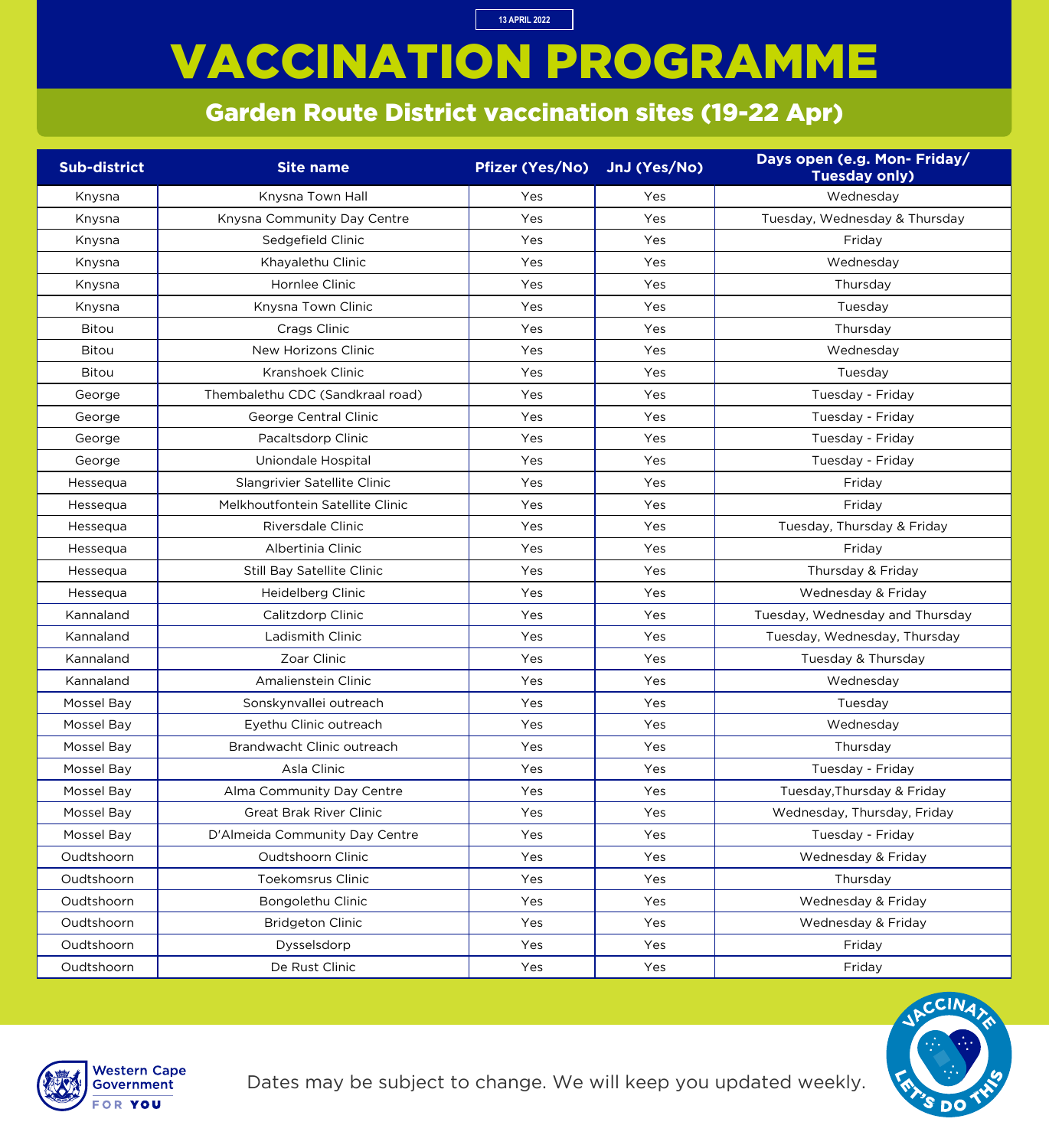# VACCINATION PROGRAMME

**13 APRIL 2022**

#### Garden Route District vaccination sites (19-22 Apr)

| <b>Sub-district</b> | <b>Site name</b>                  | <b>Pfizer (Yes/No)</b> | JnJ (Yes/No) | Days open (e.g. Mon- Friday/<br><b>Tuesday only)</b> |
|---------------------|-----------------------------------|------------------------|--------------|------------------------------------------------------|
| Knysna              | Knysna Town Hall                  | Yes                    | Yes          | Wednesday                                            |
| Knysna              | Knysna Community Day Centre       | Yes                    | Yes          | Tuesday, Wednesday & Thursday                        |
| Knysna              | Sedgefield Clinic                 | Yes                    | Yes          | Friday                                               |
| Knysna              | Khayalethu Clinic                 | Yes                    | Yes          | Wednesday                                            |
| Knysna              | Hornlee Clinic                    | Yes                    | Yes          | Thursday                                             |
| Knysna              | Knysna Town Clinic                | Yes                    | Yes          | Tuesday                                              |
| <b>Bitou</b>        | Crags Clinic                      | Yes                    | Yes          | Thursday                                             |
| <b>Bitou</b>        | New Horizons Clinic               | Yes                    | Yes          | Wednesday                                            |
| <b>Bitou</b>        | <b>Kranshoek Clinic</b>           | Yes                    | Yes          | Tuesday                                              |
| George              | Thembalethu CDC (Sandkraal road)  | Yes                    | Yes          | Tuesday - Friday                                     |
| George              | George Central Clinic             | Yes                    | Yes          | Tuesday - Friday                                     |
| George              | Pacaltsdorp Clinic                | Yes                    | Yes          | Tuesday - Friday                                     |
| George              | Uniondale Hospital                | Yes                    | Yes          | Tuesday - Friday                                     |
| Hessequa            | Slangrivier Satellite Clinic      | Yes                    | Yes          | Friday                                               |
| Hessequa            | Melkhoutfontein Satellite Clinic  | Yes                    | Yes          | Friday                                               |
| Hessequa            | Riversdale Clinic                 | Yes                    | Yes          | Tuesday, Thursday & Friday                           |
| Hessequa            | Albertinia Clinic                 | Yes                    | Yes          | Friday                                               |
| Hessequa            | <b>Still Bay Satellite Clinic</b> | Yes                    | Yes          | Thursday & Friday                                    |
| Hessequa            | Heidelberg Clinic                 | Yes                    | Yes          | Wednesday & Friday                                   |
| Kannaland           | Calitzdorp Clinic                 | Yes                    | Yes          | Tuesday, Wednesday and Thursday                      |
| Kannaland           | Ladismith Clinic                  | Yes                    | Yes          | Tuesday, Wednesday, Thursday                         |
| Kannaland           | Zoar Clinic                       | Yes                    | Yes          | Tuesday & Thursday                                   |
| Kannaland           | Amalienstein Clinic               | Yes                    | Yes          | Wednesday                                            |
| Mossel Bay          | Sonskynvallei outreach            | Yes                    | Yes          | Tuesday                                              |
| Mossel Bay          | Eyethu Clinic outreach            | Yes                    | Yes          | Wednesday                                            |
| Mossel Bay          | Brandwacht Clinic outreach        | Yes                    | Yes          | Thursday                                             |
| Mossel Bay          | Asla Clinic                       | Yes                    | Yes          | Tuesday - Friday                                     |
| Mossel Bay          | Alma Community Day Centre         | Yes                    | Yes          | Tuesday, Thursday & Friday                           |
| Mossel Bay          | <b>Great Brak River Clinic</b>    | Yes                    | Yes          | Wednesday, Thursday, Friday                          |
| Mossel Bay          | D'Almeida Community Day Centre    | Yes                    | Yes          | Tuesday - Friday                                     |
| Oudtshoorn          | Oudtshoorn Clinic                 | Yes                    | Yes          | Wednesday & Friday                                   |
| Oudtshoorn          | <b>Toekomsrus Clinic</b>          | Yes                    | Yes          | Thursday                                             |
| Oudtshoorn          | Bongolethu Clinic                 | Yes                    | Yes          | Wednesday & Friday                                   |
| Oudtshoorn          | <b>Bridgeton Clinic</b>           | Yes                    | Yes          | Wednesday & Friday                                   |
| Oudtshoorn          | Dysselsdorp                       | Yes                    | Yes          | Friday                                               |
| Oudtshoorn          | De Rust Clinic                    | Yes                    | Yes          | Friday                                               |



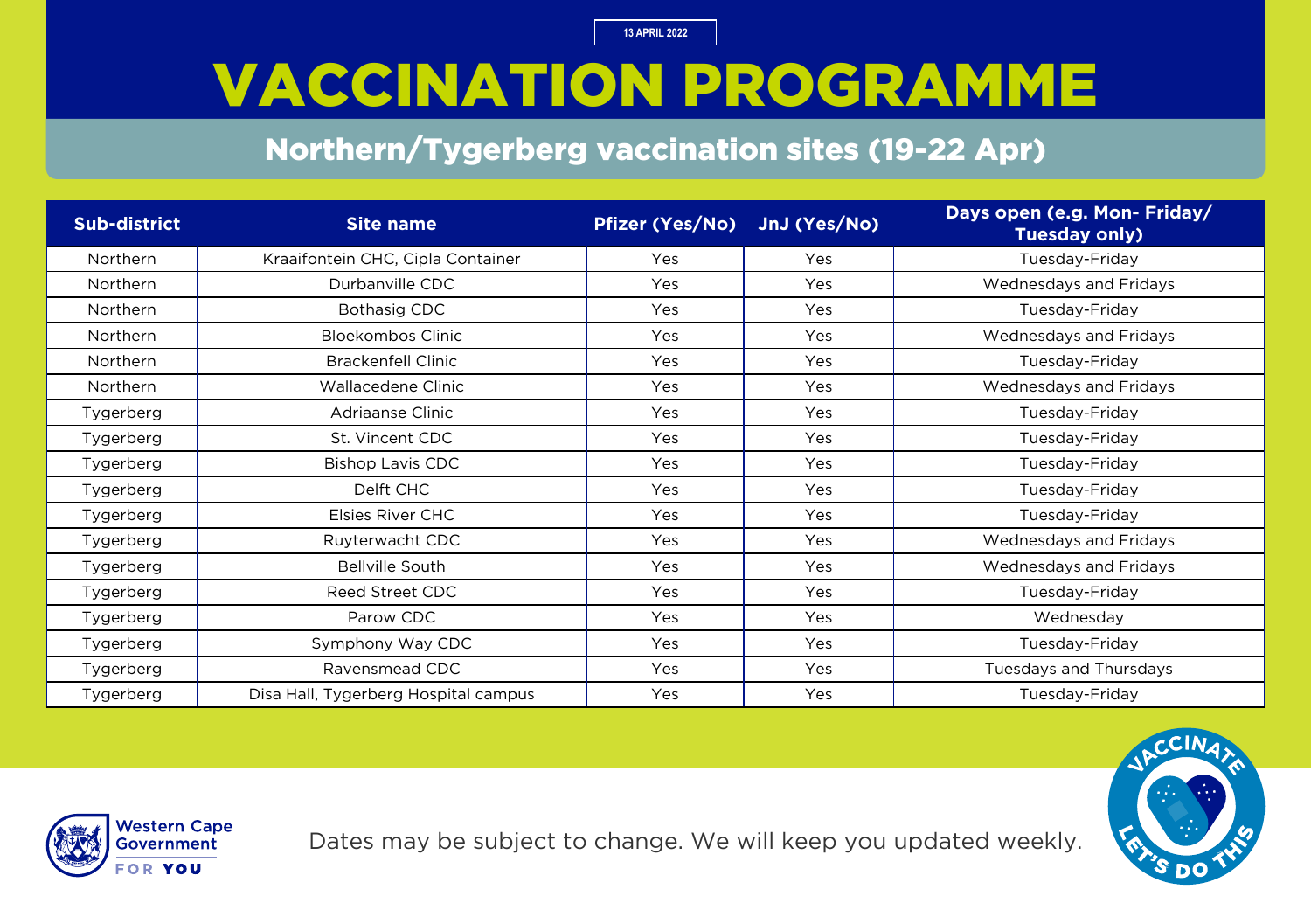# VACCINATION PROGRAMME

#### Northern/Tygerberg vaccination sites (19-22 Apr)

| <b>Sub-district</b> | <b>Site name</b>                     | <b>Pfizer (Yes/No)</b> | JnJ (Yes/No) | Days open (e.g. Mon- Friday/<br><b>Tuesday only)</b> |
|---------------------|--------------------------------------|------------------------|--------------|------------------------------------------------------|
| Northern            | Kraaifontein CHC, Cipla Container    | Yes                    | Yes          | Tuesday-Friday                                       |
| Northern            | Durbanville CDC                      | Yes                    | Yes          | Wednesdays and Fridays                               |
| Northern            | <b>Bothasig CDC</b>                  | Yes                    | Yes          | Tuesday-Friday                                       |
| Northern            | <b>Bloekombos Clinic</b>             | Yes                    | Yes          | Wednesdays and Fridays                               |
| Northern            | <b>Brackenfell Clinic</b>            | Yes                    | Yes          | Tuesday-Friday                                       |
| Northern            | Wallacedene Clinic                   | Yes                    | Yes          | Wednesdays and Fridays                               |
| Tygerberg           | Adriaanse Clinic                     | Yes                    | Yes          | Tuesday-Friday                                       |
| Tygerberg           | St. Vincent CDC                      | Yes                    | Yes          | Tuesday-Friday                                       |
| Tygerberg           | <b>Bishop Lavis CDC</b>              | Yes                    | Yes          | Tuesday-Friday                                       |
| Tygerberg           | Delft CHC                            | Yes                    | Yes          | Tuesday-Friday                                       |
| Tygerberg           | <b>Elsies River CHC</b>              | Yes                    | Yes          | Tuesday-Friday                                       |
| Tygerberg           | Ruyterwacht CDC                      | Yes                    | Yes          | Wednesdays and Fridays                               |
| Tygerberg           | <b>Bellville South</b>               | Yes                    | Yes          | Wednesdays and Fridays                               |
| Tygerberg           | Reed Street CDC                      | Yes                    | Yes          | Tuesday-Friday                                       |
| Tygerberg           | Parow CDC                            | Yes                    | Yes          | Wednesday                                            |
| Tygerberg           | Symphony Way CDC                     | Yes                    | Yes          | Tuesday-Friday                                       |
| Tygerberg           | Ravensmead CDC                       | Yes                    | Yes          | Tuesdays and Thursdays                               |
| Tygerberg           | Disa Hall, Tygerberg Hospital campus | Yes                    | Yes          | Tuesday-Friday                                       |



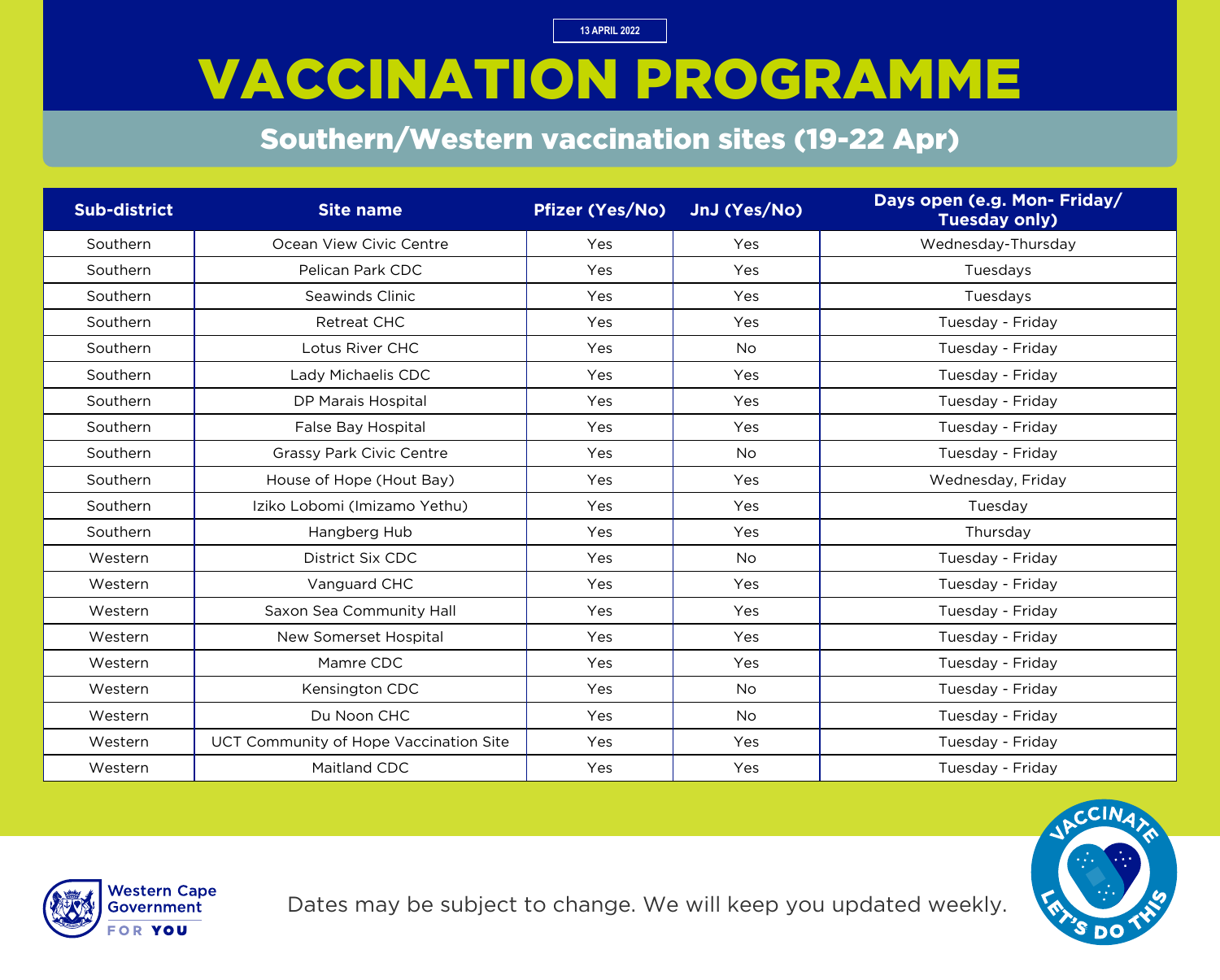## VACCINATION PROGRAMME

#### Southern/Western vaccination sites (19-22 Apr)

| <b>Sub-district</b> | <b>Site name</b>                       | <b>Pfizer (Yes/No)</b> | JnJ (Yes/No) | Days open (e.g. Mon- Friday/<br><b>Tuesday only)</b> |
|---------------------|----------------------------------------|------------------------|--------------|------------------------------------------------------|
| Southern            | Ocean View Civic Centre                | Yes                    | Yes          | Wednesday-Thursday                                   |
| Southern            | Pelican Park CDC                       | Yes                    | Yes          | Tuesdays                                             |
| Southern            | Seawinds Clinic                        | Yes                    | Yes          | Tuesdays                                             |
| Southern            | <b>Retreat CHC</b>                     | Yes                    | Yes          | Tuesday - Friday                                     |
| Southern            | Lotus River CHC                        | Yes                    | <b>No</b>    | Tuesday - Friday                                     |
| Southern            | Lady Michaelis CDC                     | Yes                    | Yes          | Tuesday - Friday                                     |
| Southern            | <b>DP Marais Hospital</b>              | Yes                    | Yes          | Tuesday - Friday                                     |
| Southern            | False Bay Hospital                     | Yes                    | Yes          | Tuesday - Friday                                     |
| Southern            | <b>Grassy Park Civic Centre</b>        | Yes                    | <b>No</b>    | Tuesday - Friday                                     |
| Southern            | House of Hope (Hout Bay)               | Yes                    | Yes          | Wednesday, Friday                                    |
| Southern            | Iziko Lobomi (Imizamo Yethu)           | Yes                    | Yes          | Tuesday                                              |
| Southern            | Hangberg Hub                           | Yes                    | Yes          | Thursday                                             |
| Western             | District Six CDC                       | Yes                    | <b>No</b>    | Tuesday - Friday                                     |
| Western             | Vanguard CHC                           | Yes                    | Yes          | Tuesday - Friday                                     |
| Western             | Saxon Sea Community Hall               | Yes                    | Yes          | Tuesday - Friday                                     |
| Western             | New Somerset Hospital                  | Yes                    | Yes          | Tuesday - Friday                                     |
| Western             | Mamre CDC                              | Yes                    | Yes          | Tuesday - Friday                                     |
| Western             | Kensington CDC                         | Yes                    | <b>No</b>    | Tuesday - Friday                                     |
| Western             | Du Noon CHC                            | Yes                    | <b>No</b>    | Tuesday - Friday                                     |
| Western             | UCT Community of Hope Vaccination Site | Yes                    | Yes          | Tuesday - Friday                                     |
| Western             | <b>Maitland CDC</b>                    | Yes                    | Yes          | Tuesday - Friday                                     |



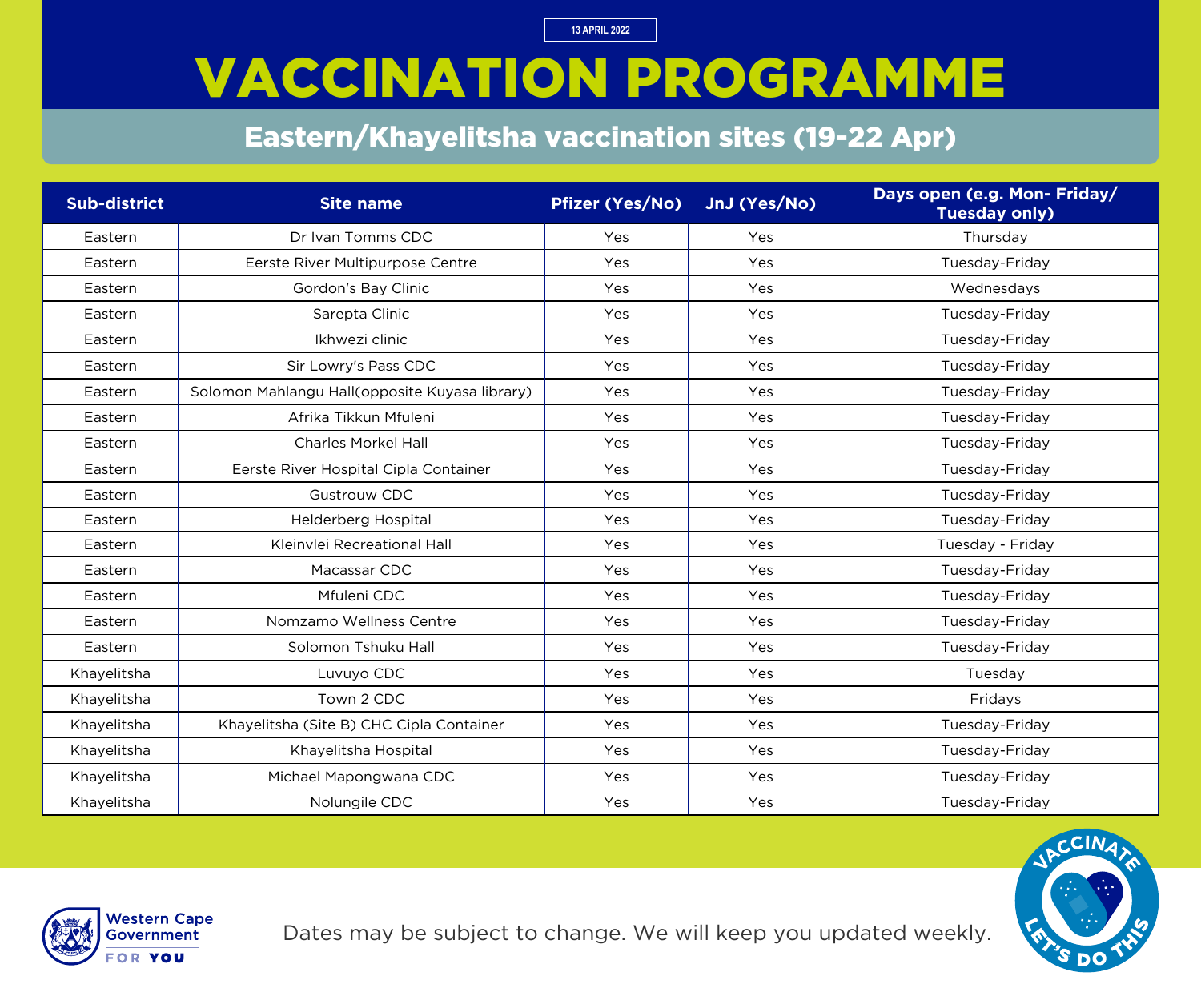# VACCINATION PROGRAMME

### Eastern/Khayelitsha vaccination sites (19-22 Apr)

| <b>Sub-district</b> | <b>Site name</b>                               | Pfizer (Yes/No) | JnJ (Yes/No) | Days open (e.g. Mon- Friday/<br><b>Tuesday only)</b> |
|---------------------|------------------------------------------------|-----------------|--------------|------------------------------------------------------|
| Eastern             | Dr Ivan Tomms CDC                              | Yes             | Yes          | Thursday                                             |
| Eastern             | Eerste River Multipurpose Centre               | Yes             | Yes          | Tuesday-Friday                                       |
| Eastern             | Gordon's Bay Clinic                            | Yes             | Yes          | Wednesdays                                           |
| Eastern             | Sarepta Clinic                                 | Yes             | Yes          | Tuesday-Friday                                       |
| Eastern             | Ikhwezi clinic                                 | Yes             | Yes          | Tuesday-Friday                                       |
| Eastern             | Sir Lowry's Pass CDC                           | Yes             | Yes          | Tuesday-Friday                                       |
| Eastern             | Solomon Mahlangu Hall(opposite Kuyasa library) | Yes             | Yes          | Tuesday-Friday                                       |
| Eastern             | Afrika Tikkun Mfuleni                          | Yes             | Yes          | Tuesday-Friday                                       |
| Eastern             | <b>Charles Morkel Hall</b>                     | Yes             | Yes          | Tuesday-Friday                                       |
| Eastern             | Eerste River Hospital Cipla Container          | Yes             | Yes          | Tuesday-Friday                                       |
| Eastern             | <b>Gustrouw CDC</b>                            | Yes             | Yes          | Tuesday-Friday                                       |
| Eastern             | Helderberg Hospital                            | Yes             | Yes          | Tuesday-Friday                                       |
| Eastern             | Kleinvlei Recreational Hall                    | Yes             | Yes          | Tuesday - Friday                                     |
| Eastern             | Macassar CDC                                   | Yes             | Yes          | Tuesday-Friday                                       |
| Eastern             | Mfuleni CDC                                    | Yes             | Yes          | Tuesday-Friday                                       |
| Eastern             | Nomzamo Wellness Centre                        | Yes             | Yes          | Tuesday-Friday                                       |
| Eastern             | Solomon Tshuku Hall                            | Yes             | Yes          | Tuesday-Friday                                       |
| Khayelitsha         | Luvuyo CDC                                     | Yes             | Yes          | Tuesday                                              |
| Khayelitsha         | Town 2 CDC                                     | Yes             | Yes          | Fridays                                              |
| Khayelitsha         | Khayelitsha (Site B) CHC Cipla Container       | Yes             | Yes          | Tuesday-Friday                                       |
| Khayelitsha         | Khayelitsha Hospital                           | Yes             | Yes          | Tuesday-Friday                                       |
| Khayelitsha         | Michael Mapongwana CDC                         | Yes             | Yes          | Tuesday-Friday                                       |
| Khayelitsha         | Nolungile CDC                                  | Yes             | Yes          | Tuesday-Friday                                       |



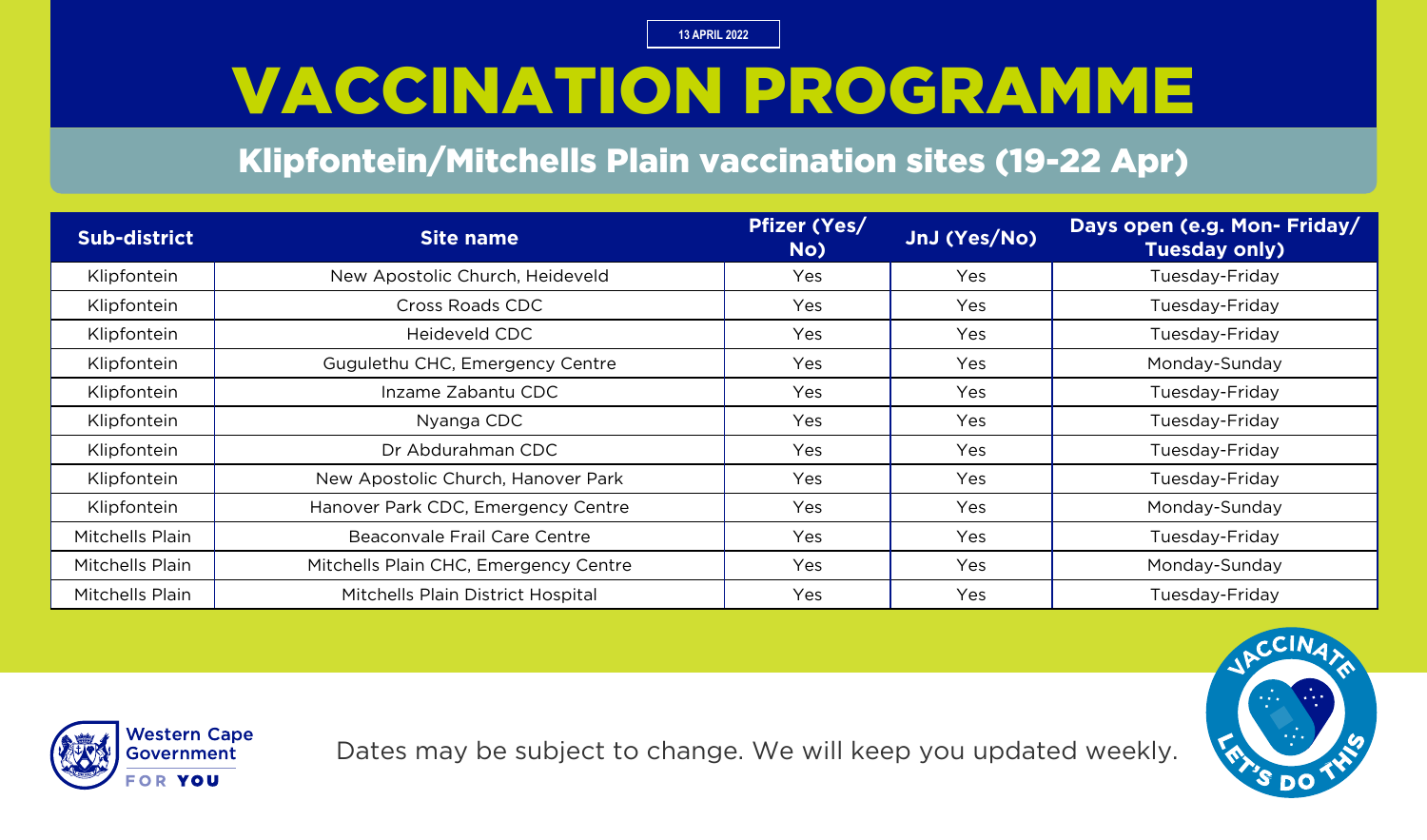## VACCINATION PROGRAMME

#### Klipfontein/Mitchells Plain vaccination sites (19-22 Apr)

| Sub-district    | <b>Site name</b>                      | <b>Pfizer (Yes/</b><br>No) | JnJ (Yes/No) | Days open (e.g. Mon- Friday/<br><b>Tuesday only)</b> |
|-----------------|---------------------------------------|----------------------------|--------------|------------------------------------------------------|
| Klipfontein     | New Apostolic Church, Heideveld       | Yes                        | Yes          | Tuesday-Friday                                       |
| Klipfontein     | <b>Cross Roads CDC</b>                | Yes                        | Yes          | Tuesday-Friday                                       |
| Klipfontein     | Heideveld CDC                         | Yes                        | Yes          | Tuesday-Friday                                       |
| Klipfontein     | Gugulethu CHC, Emergency Centre       | Yes                        | Yes          | Monday-Sunday                                        |
| Klipfontein     | Inzame Zabantu CDC                    | Yes                        | <b>Yes</b>   | Tuesday-Friday                                       |
| Klipfontein     | Nyanga CDC                            | Yes                        | Yes          | Tuesday-Friday                                       |
| Klipfontein     | Dr Abdurahman CDC                     | <b>Yes</b>                 | Yes          | Tuesday-Friday                                       |
| Klipfontein     | New Apostolic Church, Hanover Park    | Yes                        | Yes          | Tuesday-Friday                                       |
| Klipfontein     | Hanover Park CDC, Emergency Centre    | Yes                        | <b>Yes</b>   | Monday-Sunday                                        |
| Mitchells Plain | Beaconvale Frail Care Centre          | Yes                        | Yes          | Tuesday-Friday                                       |
| Mitchells Plain | Mitchells Plain CHC, Emergency Centre | Yes                        | Yes          | Monday-Sunday                                        |
| Mitchells Plain | Mitchells Plain District Hospital     | Yes                        | Yes          | Tuesday-Friday                                       |





Dates may be subject to change. We will keep you updated weekly.